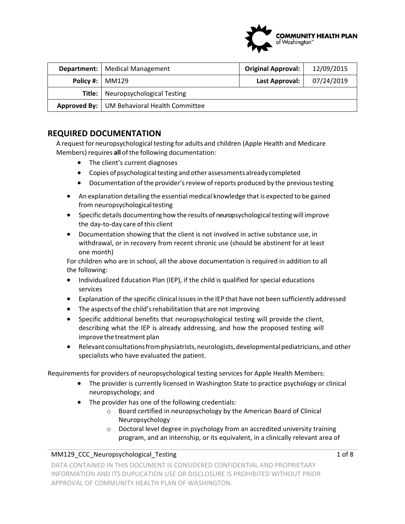

|                          | <b>Department:</b>   Medical Management     | <b>Original Approval:</b> | 12/09/2015 |
|--------------------------|---------------------------------------------|---------------------------|------------|
| <b>Policy #:   MM129</b> |                                             | Last Approval:            | 07/24/2019 |
|                          | <b>Title:</b> Neuropsychological Testing    |                           |            |
|                          | Approved By: UM Behavioral Health Committee |                           |            |

## **REQUIRED DOCUMENTATION**

A request for neuropsychological testing for adults and children (Apple Health and Medicare Members) requires **all** of the following documentation:

- The client's current diagnoses
- Copies of psychological testing and other assessments already completed
- Documentation of the provider's review of reports produced by the previous testing
- An explanation detailing the essential medical knowledge that is expected to be gained from neuropsychological testing
- Specific details documenting how the results of neuropsychological testing will improve the day‐to‐day care ofthis client
- Documentation showing that the client is not involved in active substance use, in withdrawal, or in recovery from recent chronic use (should be abstinent for at least one month)

For children who are in school, all the above documentation is required in addition to all the following:

- Individualized Education Plan (IEP), if the child is qualified for special educations services
- Explanation of the specific clinical issues in the IEP that have not been sufficiently addressed
- The aspects of the child's rehabilitation that are not improving
- Specific additional benefits that neuropsychological testing will provide the client, describing what the IEP is already addressing, and how the proposed testing will improve the treatment plan
- Relevant consultations fromphysiatrists,neurologists, developmental pediatricians, and other specialists who have evaluated the patient.

Requirements for providers of neuropsychological testing services for Apple Health Members:

- The provider is currently licensed in Washington State to practice psychology or clinical neuropsychology; and
- The provider has one of the following credentials:
	- o Board certified in neuropsychology by the American Board of Clinical Neuropsychology
	- o Doctoral level degree in psychology from an accredited university training program, and an internship, or its equivalent, in a clinically relevant area of

#### MM129 CCC Neuropsychological Testing 1 of 8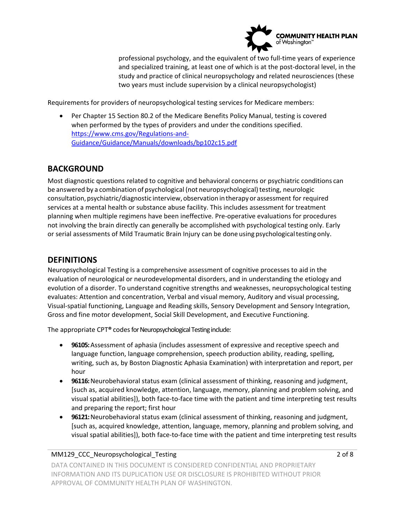

professional psychology, and the equivalent of two full-time years of experience and specialized training, at least one of which is at the post-doctoral level, in the study and practice of clinical neuropsychology and related neurosciences (these two years must include supervision by a clinical neuropsychologist)

Requirements for providers of neuropsychological testing services for Medicare members:

 Per Chapter 15 Section 80.2 of the Medicare Benefits Policy Manual, testing is covered when performed by the types of providers and under the conditions specified. [https://www.cms.gov/Regulations‐and](https://www.cms.gov/Regulations-and)‐ Guidance/Guidance/Manuals/downloads/bp102c15.pdf

## **BACKGROUND**

 be answered by a combination of psychological (not neuropsychological) testing, neurologic Most diagnostic questions related to cognitive and behavioral concerns or psychiatric conditions can consultation, psychiatric/diagnostic interview, observation intherapy or assessment for required services at a mental health or substance abuse facility. This includes assessment for treatment planning when multiple regimens have been ineffective. Pre‐operative evaluations for procedures not involving the brain directly can generally be accomplished with psychological testing only. Early or serial assessments of Mild Traumatic Brain Injury can be done using psychological testing only.

## **DEFINITIONS**

 Gross and fine motor development, Social Skill Development, and Executive Functioning. Neuropsychological Testing is a comprehensive assessment of cognitive processes to aid in the evaluation of neurological or neurodevelopmental disorders, and in understanding the etiology and evolution of a disorder. To understand cognitive strengths and weaknesses, neuropsychological testing evaluates: Attention and concentration, Verbal and visual memory, Auditory and visual processing, Visual‐spatial functioning, Language and Reading skills, Sensory Development and Sensory Integration,

The appropriate CPT**®** codesfor Neuropsychological Testing include:

- **96105:** Assessment of aphasia (includes assessment of expressive and receptive speech and language function, language comprehension, speech production ability, reading, spelling, writing, such as, by Boston Diagnostic Aphasia Examination) with interpretation and report, per hour
- **96116:** Neurobehavioral status exam (clinical assessment of thinking, reasoning and judgment, [such as, acquired knowledge, attention, language, memory, planning and problem solving, and visual spatial abilities]), both face‐to‐face time with the patient and time interpreting test results and preparing the report; first hour
- **96121:** Neurobehavioral status exam (clinical assessment of thinking, reasoning and judgment, [such as, acquired knowledge, attention, language, memory, planning and problem solving, and visual spatial abilities]), both face‐to‐face time with the patient and time interpreting test results

#### MM129\_CCC\_Neuropsychological\_Testing 2 of 8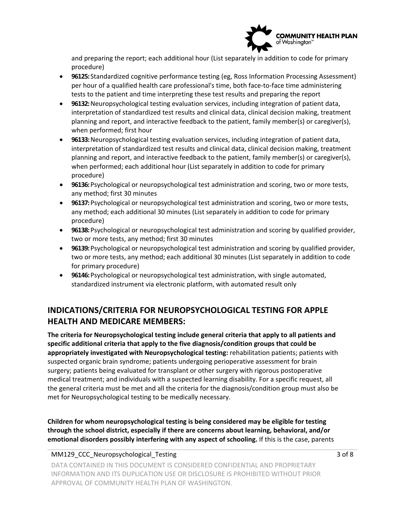

and preparing the report; each additional hour (List separately in addition to code for primary procedure)

- **96125:** Standardized cognitive performance testing (eg, Ross Information Processing Assessment) per hour of a qualified health care professional's time, both face‐to‐face time administering tests to the patient and time interpreting these test results and preparing the report
- **96132:** Neuropsychological testing evaluation services, including integration of patient data, interpretation of standardized test results and clinical data, clinical decision making, treatment planning and report, and interactive feedback to the patient, family member(s) or caregiver(s), when performed; first hour
- **96133:** Neuropsychological testing evaluation services, including integration of patient data, interpretation of standardized test results and clinical data, clinical decision making, treatment planning and report, and interactive feedback to the patient, family member(s) or caregiver(s), when performed; each additional hour (List separately in addition to code for primary procedure)
- **96136:** Psychological or neuropsychological test administration and scoring, two or more tests, any method; first 30 minutes
- **96137:** Psychological or neuropsychological test administration and scoring, two or more tests, any method; each additional 30 minutes (List separately in addition to code for primary procedure)
- **96138:** Psychological or neuropsychological test administration and scoring by qualified provider, two or more tests, any method; first 30 minutes
- **96139:** Psychological or neuropsychological test administration and scoring by qualified provider, two or more tests, any method; each additional 30 minutes (List separately in addition to code for primary procedure)
- **96146:** Psychological or neuropsychological test administration, with single automated, standardized instrument via electronic platform, with automated result only

# **INDICATIONS/CRITERIA FOR NEUROPSYCHOLOGICAL TESTING FOR APPLE HEALTH AND MEDICARE MEMBERS:**

**The criteria for Neuropsychological testing include general criteria that apply to all patients and specific additional criteria that apply to the five diagnosis/condition groups that could be appropriately investigated with Neuropsychological testing:** rehabilitation patients; patients with suspected organic brain syndrome; patients undergoing perioperative assessment for brain surgery; patients being evaluated for transplant or other surgery with rigorous postoperative medical treatment; and individuals with a suspected learning disability. For a specific request, all the general criteria must be met and all the criteria for the diagnosis/condition group must also be met for Neuropsychological testing to be medically necessary.

 **Children for whom neuropsychological testing is being considered may be eligible for testing through the school district, especially if there are concerns about learning, behavioral, and/or emotional disorders possibly interfering with any aspect of schooling.** If this is the case, parents

MM129 CCC\_Neuropsychological\_Testing 3 of 8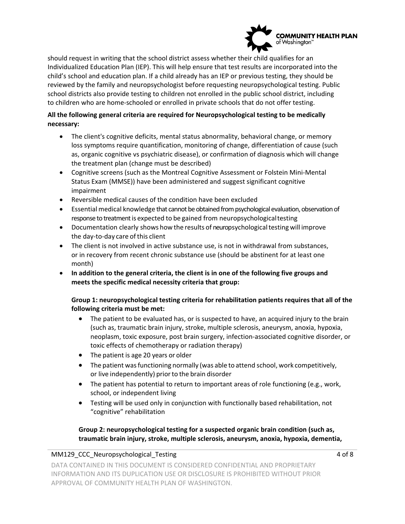

 child's school and education plan. If a child already has an IEP or previous testing, they should be to children who are home‐schooled or enrolled in private schools that do not offer testing. should request in writing that the school district assess whether their child qualifies for an Individualized Education Plan (IEP). This will help ensure that test results are incorporated into the reviewed by the family and neuropsychologist before requesting neuropsychological testing. Public school districts also provide testing to children not enrolled in the public school district, including

### **All the following general criteria are required for Neuropsychological testing to be medically necessary:**

- The client's cognitive deficits, mental status abnormality, behavioral change, or memory loss symptoms require quantification, monitoring of change, differentiation of cause (such as, organic cognitive vs psychiatric disease), or confirmation of diagnosis which will change the treatment plan (change must be described)
- Cognitive screens (such as the Montreal Cognitive Assessment or Folstein Mini‐Mental Status Exam (MMSE)) have been administered and suggest significant cognitive impairment
- Reversible medical causes of the condition have been excluded
- Essential medical knowledge that cannot be obtained from psychological evaluation, observation of response to treatment is expected to be gained from neuropsychological testing
- the day‐to‐day care ofthis client Documentation clearly shows how the results of neuropsychological testing will improve
- The client is not involved in active substance use, is not in withdrawal from substances, or in recovery from recent chronic substance use (should be abstinent for at least one month)
- **In addition to the general criteria, the client is in one of the following five groups and meets the specific medical necessity criteria that group:**

### **Group 1: neuropsychological testing criteria for rehabilitation patients requires that all of the following criteria must be met:**

- The patient to be evaluated has, or is suspected to have, an acquired injury to the brain (such as, traumatic brain injury, stroke, multiple sclerosis, aneurysm, anoxia, hypoxia, neoplasm, toxic exposure, post brain surgery, infection‐associated cognitive disorder, or toxic effects of chemotherapy or radiation therapy)
- The patient is age 20 years or older
- The patient was functioning normally (was able to attend school, work competitively, or live independently) priorto the brain disorder
- The patient has potential to return to important areas of role functioning (e.g., work, school, or independent living
- Testing will be used only in conjunction with functionally based rehabilitation, not "cognitive" rehabilitation

### **traumatic brain injury, stroke, multiple sclerosis, aneurysm, anoxia, hypoxia, dementia, Group 2: neuropsychological testing for a suspected organic brain condition (such as,**

#### MM129 CCC\_Neuropsychological\_Testing 4 of 8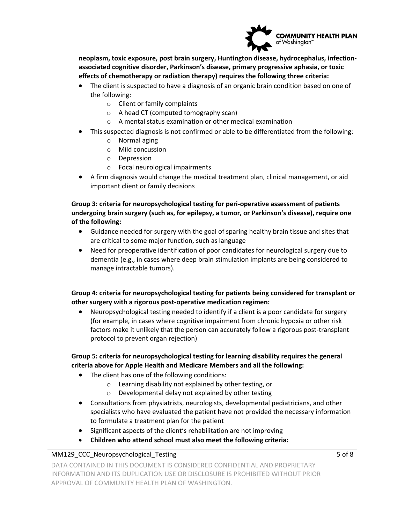

**neoplasm, toxic exposure, post brain surgery, Huntington disease, hydrocephalus, infection‐ associated cognitive disorder, Parkinson's disease, primary progressive aphasia, or toxic effects of chemotherapy or radiation therapy) requires the following three criteria:**

- The client is suspected to have a diagnosis of an organic brain condition based on one of the following:
	- o Client or family complaints
	- o A head CT (computed tomography scan)
	- o A mental status examination or other medical examination
- This suspected diagnosis is not confirmed or able to be differentiated from the following:
	- o Normal aging
	- o Mild concussion
	- o Depression
	- o Focal neurological impairments
- A firm diagnosis would change the medical treatment plan, clinical management, or aid important client or family decisions

**Group 3: criteria for neuropsychological testing for peri‐operative assessment of patients undergoing brain surgery (such as, for epilepsy, a tumor, or Parkinson's disease), require one of the following:** 

- Guidance needed for surgery with the goal of sparing healthy brain tissue and sites that are critical to some major function, such as language
- Need for preoperative identification of poor candidates for neurological surgery due to dementia (e.g., in cases where deep brain stimulation implants are being considered to manage intractable tumors).

#### **Group 4: criteria for neuropsychological testing for patients being considered for transplant or other surgery with a rigorous post‐operative medication regimen:**

 Neuropsychological testing needed to identify if a client is a poor candidate for surgery (for example, in cases where cognitive impairment from chronic hypoxia or other risk factors make it unlikely that the person can accurately follow a rigorous post-transplant protocol to prevent organ rejection)

#### **Group 5: criteria for neuropsychological testing for learning disability requires the general criteria above for Apple Health and Medicare Members and all the following:**

- The client has one of the following conditions:
	- o Learning disability not explained by other testing, or
	- o Developmental delay not explained by other testing
- to formulate a treatment plan for the patient Consultations from physiatrists, neurologists, developmental pediatricians, and other specialists who have evaluated the patient have not provided the necessary information
- Significant aspects of the client's rehabilitation are not improving
- **Children who attend school must also meet the following criteria:**

#### MM129\_CCC\_Neuropsychological\_Testing 5 of 8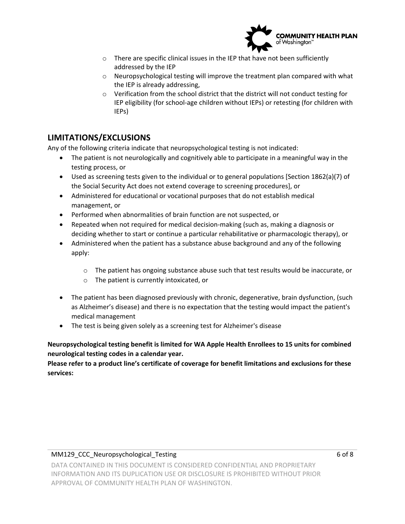

- o There are specific clinical issues in the IEP that have not been sufficiently addressed by the IEP
- o Neuropsychological testing will improve the treatment plan compared with what the IEP is already addressing,
- $\circ$  Verification from the school district that the district will not conduct testing for IEP eligibility (for school‐age children without IEPs) or retesting (for children with IEPs)

# **LIMITATIONS/EXCLUSIONS**

Any of the following criteria indicate that neuropsychological testing is not indicated:

- The patient is not neurologically and cognitively able to participate in a meaningful way in the testing process, or
- Used as screening tests given to the individual or to general populations [Section 1862(a)(7) of the Social Security Act does not extend coverage to screening procedures], or
- Administered for educational or vocational purposes that do not establish medical management, or
- Performed when abnormalities of brain function are not suspected, or
- Repeated when not required for medical decision-making (such as, making a diagnosis or deciding whether to start or continue a particular rehabilitative or pharmacologic therapy), or
- Administered when the patient has a substance abuse background and any of the following apply:
	- $\circ$  The patient has ongoing substance abuse such that test results would be inaccurate, or
	- o The patient is currently intoxicated, or
- medical management • The patient has been diagnosed previously with chronic, degenerative, brain dysfunction, (such as Alzheimer's disease) and there is no expectation that the testing would impact the patient's
- The test is being given solely as a screening test for Alzheimer's disease

### **Neuropsychological testing benefit is limited for WA Apple Health Enrollees to 15 units for combined neurological testing codes in a calendar year.**

 **services: Please refer to a product line's certificate of coverage for benefit limitations and exclusions for these**

#### MM129\_CCC\_Neuropsychological\_Testing 6 of 8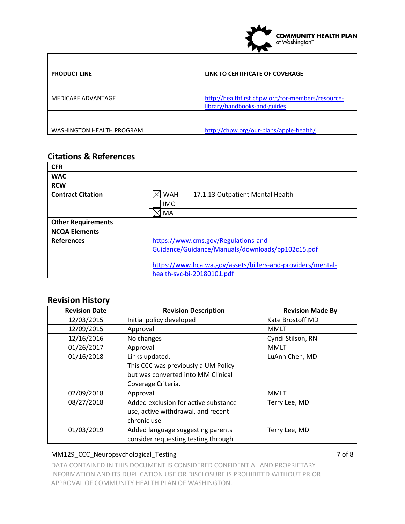

| <b>PRODUCT LINE</b>       | LINK TO CERTIFICATE OF COVERAGE                   |  |
|---------------------------|---------------------------------------------------|--|
|                           |                                                   |  |
| MEDICARE ADVANTAGE        | http://healthfirst.chpw.org/for-members/resource- |  |
|                           | library/handbooks-and-guides                      |  |
|                           |                                                   |  |
| WASHINGTON HEALTH PROGRAM | http://chpw.org/our-plans/apple-health/           |  |

# **Citations & References**

| <b>CFR</b>                |                                                             |                                  |  |
|---------------------------|-------------------------------------------------------------|----------------------------------|--|
| <b>WAC</b>                |                                                             |                                  |  |
| <b>RCW</b>                |                                                             |                                  |  |
| <b>Contract Citation</b>  | <b>WAH</b>                                                  | 17.1.13 Outpatient Mental Health |  |
|                           | <b>IMC</b>                                                  |                                  |  |
|                           | MA                                                          |                                  |  |
| <b>Other Requirements</b> |                                                             |                                  |  |
| <b>NCQA Elements</b>      |                                                             |                                  |  |
| <b>References</b>         | https://www.cms.gov/Regulations-and-                        |                                  |  |
|                           | Guidance/Guidance/Manuals/downloads/bp102c15.pdf            |                                  |  |
|                           |                                                             |                                  |  |
|                           | https://www.hca.wa.gov/assets/billers-and-providers/mental- |                                  |  |
|                           | health-svc-bi-20180101.pdf                                  |                                  |  |

# **Revision History**

| <b>Revision Date</b> | <b>Revision Description</b>          | <b>Revision Made By</b> |
|----------------------|--------------------------------------|-------------------------|
| 12/03/2015           | Initial policy developed             | Kate Brostoff MD        |
| 12/09/2015           | Approval                             | <b>MMLT</b>             |
| 12/16/2016           | No changes                           | Cyndi Stilson, RN       |
| 01/26/2017           | Approval                             | <b>MMLT</b>             |
| 01/16/2018           | Links updated.                       | LuAnn Chen, MD          |
|                      | This CCC was previously a UM Policy  |                         |
|                      | but was converted into MM Clinical   |                         |
|                      | Coverage Criteria.                   |                         |
| 02/09/2018           | Approval                             | <b>MMLT</b>             |
| 08/27/2018           | Added exclusion for active substance | Terry Lee, MD           |
|                      | use, active withdrawal, and recent   |                         |
|                      | chronic use                          |                         |
| 01/03/2019           | Added language suggesting parents    | Terry Lee, MD           |
|                      | consider requesting testing through  |                         |

### MM129\_CCC\_Neuropsychological\_Testing 7 of 8